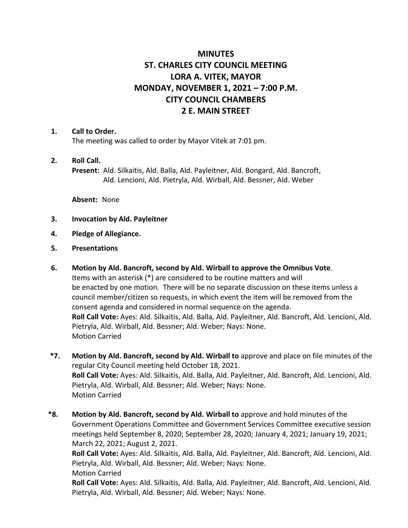# **MINUTES ST. CHARLES CITY COUNCIL MEETING LORA A. VITEK, MAYOR MONDAY, NOVEMBER 1, 2021 – 7:00 P.M. CITY COUNCIL CHAMBERS 2 E. MAIN STREET**

#### **1. Call to Order.**

The meeting was called to order by Mayor Vitek at 7:01 pm.

#### **2. Roll Call.**

**Present:** Ald. Silkaitis, Ald. Balla, Ald. Payleitner, Ald. Bongard, Ald. Bancroft, Ald. Lencioni, Ald. Pietryla, Ald. Wirball, Ald. Bessner, Ald. Weber

**Absent:** None

- **3. Invocation by Ald. Payleitner**
- **4. Pledge of Allegiance.**
- **5. Presentations**
- **6. Motion by Ald. Bancroft, second by Ald. Wirball to approve the Omnibus Vote**. Items with an asterisk (\*) are considered to be routine matters and will be enacted by one motion. There will be no separate discussion on these items unless a council member/citizen so requests, in which event the item will be removed from the consent agenda and considered in normal sequence on the agenda. **Roll Call Vote:** Ayes: Ald. Silkaitis, Ald. Balla, Ald. Payleitner, Ald. Bancroft, Ald. Lencioni, Ald. Pietryla, Ald. Wirball, Ald. Bessner; Ald. Weber; Nays: None. Motion Carried
- **\*7. Motion by Ald. Bancroft, second by Ald. Wirball to** approve and place on file minutes of the regular City Council meeting held October 18, 2021. **Roll Call Vote:** Ayes: Ald. Silkaitis, Ald. Balla, Ald. Payleitner, Ald. Bancroft, Ald. Lencioni, Ald. Pietryla, Ald. Wirball, Ald. Bessner; Ald. Weber; Nays: None. Motion Carried
- **\*8. Motion by Ald. Bancroft, second by Ald. Wirball to** approve and hold minutes of the Government Operations Committee and Government Services Committee executive session meetings held September 8, 2020; September 28, 2020; January 4, 2021; January 19, 2021; March 22, 2021; August 2, 2021.

**Roll Call Vote:** Ayes: Ald. Silkaitis, Ald. Balla, Ald. Payleitner, Ald. Bancroft, Ald. Lencioni, Ald. Pietryla, Ald. Wirball, Ald. Bessner; Ald. Weber; Nays: None. Motion Carried

**Roll Call Vote:** Ayes: Ald. Silkaitis, Ald. Balla, Ald. Payleitner, Ald. Bancroft, Ald. Lencioni, Ald. Pietryla, Ald. Wirball, Ald. Bessner; Ald. Weber; Nays: None.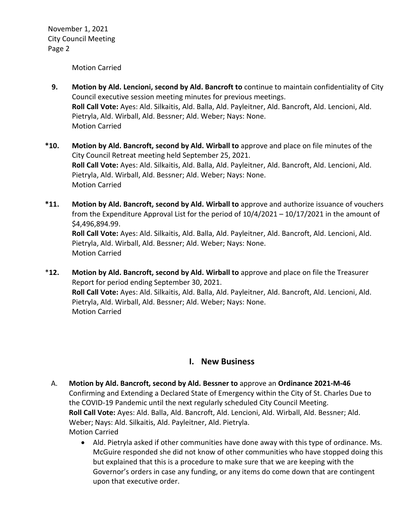Motion Carried

- **9. Motion by Ald. Lencioni, second by Ald. Bancroft to** continue to maintain confidentiality of City Council executive session meeting minutes for previous meetings. **Roll Call Vote:** Ayes: Ald. Silkaitis, Ald. Balla, Ald. Payleitner, Ald. Bancroft, Ald. Lencioni, Ald. Pietryla, Ald. Wirball, Ald. Bessner; Ald. Weber; Nays: None. Motion Carried
- **\*10. Motion by Ald. Bancroft, second by Ald. Wirball to** approve and place on file minutes of the City Council Retreat meeting held September 25, 2021. **Roll Call Vote:** Ayes: Ald. Silkaitis, Ald. Balla, Ald. Payleitner, Ald. Bancroft, Ald. Lencioni, Ald. Pietryla, Ald. Wirball, Ald. Bessner; Ald. Weber; Nays: None. Motion Carried
- **\*11. Motion by Ald. Bancroft, second by Ald. Wirball to** approve and authorize issuance of vouchers from the Expenditure Approval List for the period of 10/4/2021 – 10/17/2021 in the amount of \$4,496,894.99. **Roll Call Vote:** Ayes: Ald. Silkaitis, Ald. Balla, Ald. Payleitner, Ald. Bancroft, Ald. Lencioni, Ald. Pietryla, Ald. Wirball, Ald. Bessner; Ald. Weber; Nays: None. Motion Carried
- \***12. Motion by Ald. Bancroft, second by Ald. Wirball to** approve and place on file the Treasurer Report for period ending September 30, 2021. **Roll Call Vote:** Ayes: Ald. Silkaitis, Ald. Balla, Ald. Payleitner, Ald. Bancroft, Ald. Lencioni, Ald. Pietryla, Ald. Wirball, Ald. Bessner; Ald. Weber; Nays: None. Motion Carried

## **I. New Business**

- A. **Motion by Ald. Bancroft, second by Ald. Bessner to** approve an **Ordinance 2021-M-46** Confirming and Extending a Declared State of Emergency within the City of St. Charles Due to the COVID-19 Pandemic until the next regularly scheduled City Council Meeting. **Roll Call Vote:** Ayes: Ald. Balla, Ald. Bancroft, Ald. Lencioni, Ald. Wirball, Ald. Bessner; Ald. Weber; Nays: Ald. Silkaitis, Ald. Payleitner, Ald. Pietryla. Motion Carried
	- Ald. Pietryla asked if other communities have done away with this type of ordinance. Ms. McGuire responded she did not know of other communities who have stopped doing this but explained that this is a procedure to make sure that we are keeping with the Governor's orders in case any funding, or any items do come down that are contingent upon that executive order.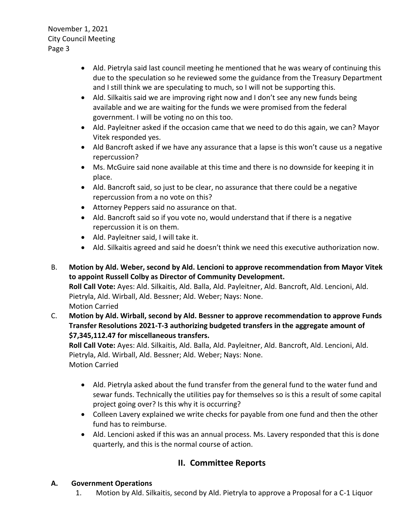- Ald. Pietryla said last council meeting he mentioned that he was weary of continuing this due to the speculation so he reviewed some the guidance from the Treasury Department and I still think we are speculating to much, so I will not be supporting this.
- Ald. Silkaitis said we are improving right now and I don't see any new funds being available and we are waiting for the funds we were promised from the federal government. I will be voting no on this too.
- Ald. Payleitner asked if the occasion came that we need to do this again, we can? Mayor Vitek responded yes.
- Ald Bancroft asked if we have any assurance that a lapse is this won't cause us a negative repercussion?
- Ms. McGuire said none available at this time and there is no downside for keeping it in place.
- Ald. Bancroft said, so just to be clear, no assurance that there could be a negative repercussion from a no vote on this?
- Attorney Peppers said no assurance on that.
- Ald. Bancroft said so if you vote no, would understand that if there is a negative repercussion it is on them.
- Ald. Payleitner said, I will take it.
- Ald. Silkaitis agreed and said he doesn't think we need this executive authorization now.
- B. **Motion by Ald. Weber, second by Ald. Lencioni to approve recommendation from Mayor Vitek to appoint Russell Colby as Director of Community Development. Roll Call Vote:** Ayes: Ald. Silkaitis, Ald. Balla, Ald. Payleitner, Ald. Bancroft, Ald. Lencioni, Ald. Pietryla, Ald. Wirball, Ald. Bessner; Ald. Weber; Nays: None. Motion Carried
- C. **Motion by Ald. Wirball, second by Ald. Bessner to approve recommendation to approve Funds Transfer Resolutions 2021-T-3 authorizing budgeted transfers in the aggregate amount of \$7,345,112.47 for miscellaneous transfers.**

**Roll Call Vote:** Ayes: Ald. Silkaitis, Ald. Balla, Ald. Payleitner, Ald. Bancroft, Ald. Lencioni, Ald. Pietryla, Ald. Wirball, Ald. Bessner; Ald. Weber; Nays: None. Motion Carried

- Ald. Pietryla asked about the fund transfer from the general fund to the water fund and sewar funds. Technically the utilities pay for themselves so is this a result of some capital project going over? Is this why it is occurring?
- Colleen Lavery explained we write checks for payable from one fund and then the other fund has to reimburse.
- Ald. Lencioni asked if this was an annual process. Ms. Lavery responded that this is done quarterly, and this is the normal course of action.

# **II. Committee Reports**

# **A. Government Operations**

1. Motion by Ald. Silkaitis, second by Ald. Pietryla to approve a Proposal for a C-1 Liquor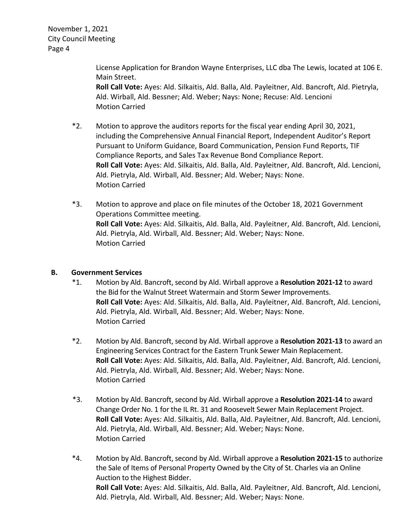> License Application for Brandon Wayne Enterprises, LLC dba The Lewis, located at 106 E. Main Street.

**Roll Call Vote:** Ayes: Ald. Silkaitis, Ald. Balla, Ald. Payleitner, Ald. Bancroft, Ald. Pietryla, Ald. Wirball, Ald. Bessner; Ald. Weber; Nays: None; Recuse: Ald. Lencioni Motion Carried

- \*2. Motion to approve the auditors reports for the fiscal year ending April 30, 2021, including the Comprehensive Annual Financial Report, Independent Auditor's Report Pursuant to Uniform Guidance, Board Communication, Pension Fund Reports, TIF Compliance Reports, and Sales Tax Revenue Bond Compliance Report. **Roll Call Vote:** Ayes: Ald. Silkaitis, Ald. Balla, Ald. Payleitner, Ald. Bancroft, Ald. Lencioni, Ald. Pietryla, Ald. Wirball, Ald. Bessner; Ald. Weber; Nays: None. Motion Carried
- \*3. Motion to approve and place on file minutes of the October 18, 2021 Government Operations Committee meeting. **Roll Call Vote:** Ayes: Ald. Silkaitis, Ald. Balla, Ald. Payleitner, Ald. Bancroft, Ald. Lencioni, Ald. Pietryla, Ald. Wirball, Ald. Bessner; Ald. Weber; Nays: None. Motion Carried

### **B. Government Services**

- \*1. Motion by Ald. Bancroft, second by Ald. Wirball approve a **Resolution 2021-12** to award the Bid for the Walnut Street Watermain and Storm Sewer Improvements. **Roll Call Vote:** Ayes: Ald. Silkaitis, Ald. Balla, Ald. Payleitner, Ald. Bancroft, Ald. Lencioni, Ald. Pietryla, Ald. Wirball, Ald. Bessner; Ald. Weber; Nays: None. Motion Carried
- \*2. Motion by Ald. Bancroft, second by Ald. Wirball approve a **Resolution 2021-13** to award an Engineering Services Contract for the Eastern Trunk Sewer Main Replacement. **Roll Call Vote:** Ayes: Ald. Silkaitis, Ald. Balla, Ald. Payleitner, Ald. Bancroft, Ald. Lencioni, Ald. Pietryla, Ald. Wirball, Ald. Bessner; Ald. Weber; Nays: None. Motion Carried
- \*3. Motion by Ald. Bancroft, second by Ald. Wirball approve a **Resolution 2021-14** to award Change Order No. 1 for the IL Rt. 31 and Roosevelt Sewer Main Replacement Project. **Roll Call Vote:** Ayes: Ald. Silkaitis, Ald. Balla, Ald. Payleitner, Ald. Bancroft, Ald. Lencioni, Ald. Pietryla, Ald. Wirball, Ald. Bessner; Ald. Weber; Nays: None. Motion Carried
- \*4. Motion by Ald. Bancroft, second by Ald. Wirball approve a **Resolution 2021-15** to authorize the Sale of Items of Personal Property Owned by the City of St. Charles via an Online Auction to the Highest Bidder. **Roll Call Vote:** Ayes: Ald. Silkaitis, Ald. Balla, Ald. Payleitner, Ald. Bancroft, Ald. Lencioni, Ald. Pietryla, Ald. Wirball, Ald. Bessner; Ald. Weber; Nays: None.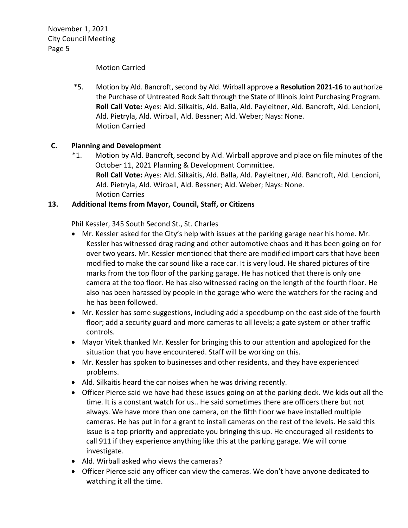#### Motion Carried

\*5. Motion by Ald. Bancroft, second by Ald. Wirball approve a **Resolution 2021-16** to authorize the Purchase of Untreated Rock Salt through the State of Illinois Joint Purchasing Program. **Roll Call Vote:** Ayes: Ald. Silkaitis, Ald. Balla, Ald. Payleitner, Ald. Bancroft, Ald. Lencioni, Ald. Pietryla, Ald. Wirball, Ald. Bessner; Ald. Weber; Nays: None. Motion Carried

### **C. Planning and Development**

\*1. Motion by Ald. Bancroft, second by Ald. Wirball approve and place on file minutes of the October 11, 2021 Planning & Development Committee. **Roll Call Vote:** Ayes: Ald. Silkaitis, Ald. Balla, Ald. Payleitner, Ald. Bancroft, Ald. Lencioni, Ald. Pietryla, Ald. Wirball, Ald. Bessner; Ald. Weber; Nays: None. Motion Carries

### **13. Additional Items from Mayor, Council, Staff, or Citizens**

Phil Kessler, 345 South Second St., St. Charles

- Mr. Kessler asked for the City's help with issues at the parking garage near his home. Mr. Kessler has witnessed drag racing and other automotive chaos and it has been going on for over two years. Mr. Kessler mentioned that there are modified import cars that have been modified to make the car sound like a race car. It is very loud. He shared pictures of tire marks from the top floor of the parking garage. He has noticed that there is only one camera at the top floor. He has also witnessed racing on the length of the fourth floor. He also has been harassed by people in the garage who were the watchers for the racing and he has been followed.
- Mr. Kessler has some suggestions, including add a speedbump on the east side of the fourth floor; add a security guard and more cameras to all levels; a gate system or other traffic controls.
- Mayor Vitek thanked Mr. Kessler for bringing this to our attention and apologized for the situation that you have encountered. Staff will be working on this.
- Mr. Kessler has spoken to businesses and other residents, and they have experienced problems.
- Ald. Silkaitis heard the car noises when he was driving recently.
- Officer Pierce said we have had these issues going on at the parking deck. We kids out all the time. It is a constant watch for us.. He said sometimes there are officers there but not always. We have more than one camera, on the fifth floor we have installed multiple cameras. He has put in for a grant to install cameras on the rest of the levels. He said this issue is a top priority and appreciate you bringing this up. He encouraged all residents to call 911 if they experience anything like this at the parking garage. We will come investigate.
- Ald. Wirball asked who views the cameras?
- Officer Pierce said any officer can view the cameras. We don't have anyone dedicated to watching it all the time.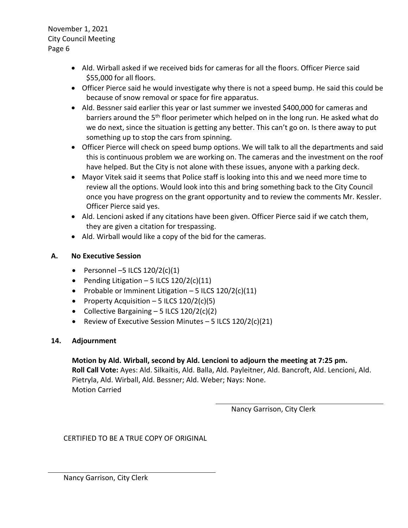- Ald. Wirball asked if we received bids for cameras for all the floors. Officer Pierce said \$55,000 for all floors.
- Officer Pierce said he would investigate why there is not a speed bump. He said this could be because of snow removal or space for fire apparatus.
- Ald. Bessner said earlier this year or last summer we invested \$400,000 for cameras and barriers around the 5<sup>th</sup> floor perimeter which helped on in the long run. He asked what do we do next, since the situation is getting any better. This can't go on. Is there away to put something up to stop the cars from spinning.
- Officer Pierce will check on speed bump options. We will talk to all the departments and said this is continuous problem we are working on. The cameras and the investment on the roof have helped. But the City is not alone with these issues, anyone with a parking deck.
- Mayor Vitek said it seems that Police staff is looking into this and we need more time to review all the options. Would look into this and bring something back to the City Council once you have progress on the grant opportunity and to review the comments Mr. Kessler. Officer Pierce said yes.
- Ald. Lencioni asked if any citations have been given. Officer Pierce said if we catch them, they are given a citation for trespassing.
- Ald. Wirball would like a copy of the bid for the cameras.

## **A. No Executive Session**

- Personnel  $-5$  ILCS  $120/2(c)(1)$
- Pending Litigation 5 ILCS  $120/2(c)(11)$
- Probable or Imminent Litigation  $-5$  ILCS  $120/2(c)(11)$
- Property Acquisition 5 ILCS  $120/2(c)(5)$
- Collective Bargaining  $-5$  ILCS 120/2(c)(2)
- Review of Executive Session Minutes  $-5$  ILCS  $120/2(c)(21)$

## **14. Adjournment**

## **Motion by Ald. Wirball, second by Ald. Lencioni to adjourn the meeting at 7:25 pm. Roll Call Vote:** Ayes: Ald. Silkaitis, Ald. Balla, Ald. Payleitner, Ald. Bancroft, Ald. Lencioni, Ald. Pietryla, Ald. Wirball, Ald. Bessner; Ald. Weber; Nays: None. Motion Carried

Nancy Garrison, City Clerk

CERTIFIED TO BE A TRUE COPY OF ORIGINAL

Nancy Garrison, City Clerk